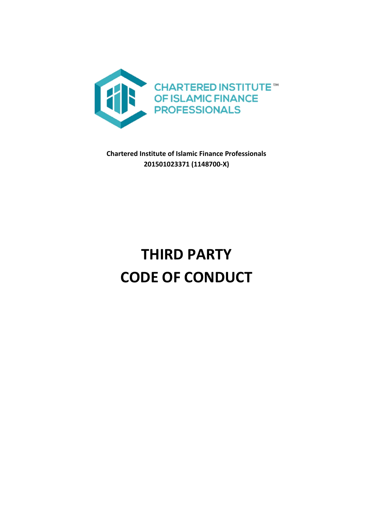

**Chartered Institute of Islamic Finance Professionals 201501023371 (1148700-X)**

# **THIRD PARTY CODE OF CONDUCT**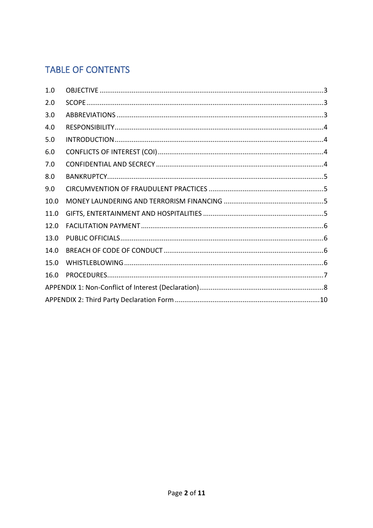# **TABLE OF CONTENTS**

| 1.0  |  |  |  |
|------|--|--|--|
| 2.0  |  |  |  |
| 3.0  |  |  |  |
| 4.0  |  |  |  |
| 5.0  |  |  |  |
| 6.0  |  |  |  |
| 7.0  |  |  |  |
| 8.0  |  |  |  |
| 9.0  |  |  |  |
| 10.0 |  |  |  |
| 11.0 |  |  |  |
| 12.0 |  |  |  |
| 13.0 |  |  |  |
| 14.0 |  |  |  |
| 15.0 |  |  |  |
| 16.0 |  |  |  |
|      |  |  |  |
|      |  |  |  |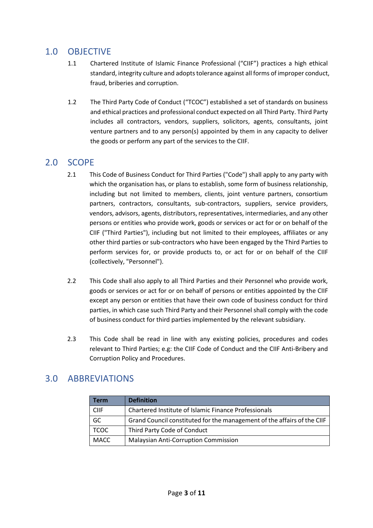## <span id="page-2-0"></span>1.0 OBJECTIVE

- 1.1 Chartered Institute of Islamic Finance Professional ("CIIF") practices a high ethical standard, integrity culture and adopts tolerance against all forms of improper conduct, fraud, briberies and corruption.
- 1.2 The Third Party Code of Conduct ("TCOC") established a set of standards on business and ethical practices and professional conduct expected on all Third Party. Third Party includes all contractors, vendors, suppliers, solicitors, agents, consultants, joint venture partners and to any person(s) appointed by them in any capacity to deliver the goods or perform any part of the services to the CIIF.

## <span id="page-2-1"></span>2.0 SCOPE

- 2.1 This Code of Business Conduct for Third Parties ("Code") shall apply to any party with which the organisation has, or plans to establish, some form of business relationship, including but not limited to members, clients, joint venture partners, consortium partners, contractors, consultants, sub-contractors, suppliers, service providers, vendors, advisors, agents, distributors, representatives, intermediaries, and any other persons or entities who provide work, goods or services or act for or on behalf of the CIIF ("Third Parties"), including but not limited to their employees, affiliates or any other third parties or sub-contractors who have been engaged by the Third Parties to perform services for, or provide products to, or act for or on behalf of the CIIF (collectively, "Personnel").
- 2.2 This Code shall also apply to all Third Parties and their Personnel who provide work, goods or services or act for or on behalf of persons or entities appointed by the CIIF except any person or entities that have their own code of business conduct for third parties, in which case such Third Party and their Personnel shall comply with the code of business conduct for third parties implemented by the relevant subsidiary.
- 2.3 This Code shall be read in line with any existing policies, procedures and codes relevant to Third Parties; e.g: the CIIF Code of Conduct and the CIIF Anti-Bribery and Corruption Policy and Procedures.

## <span id="page-2-2"></span>3.0 ABBREVIATIONS

| Term        | <b>Definition</b>                                                       |
|-------------|-------------------------------------------------------------------------|
| <b>CIIF</b> | Chartered Institute of Islamic Finance Professionals                    |
| GC          | Grand Council constituted for the management of the affairs of the CIIF |
| <b>TCOC</b> | Third Party Code of Conduct                                             |
| MACC        | <b>Malaysian Anti-Corruption Commission</b>                             |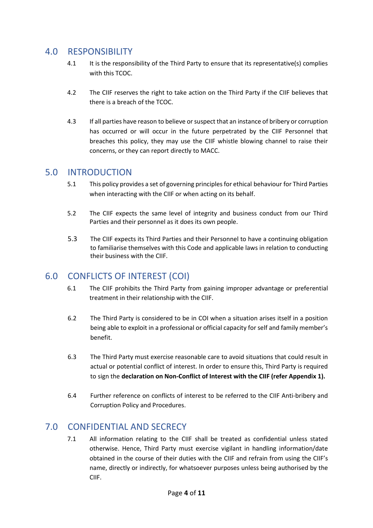#### <span id="page-3-0"></span>4.0 RESPONSIBILITY

- 4.1 It is the responsibility of the Third Party to ensure that its representative(s) complies with this TCOC.
- 4.2 The CIIF reserves the right to take action on the Third Party if the CIIF believes that there is a breach of the TCOC.
- 4.3 If all parties have reason to believe or suspect that an instance of bribery or corruption has occurred or will occur in the future perpetrated by the CIIF Personnel that breaches this policy, they may use the CIIF whistle blowing channel to raise their concerns, or they can report directly to MACC.

#### <span id="page-3-1"></span>5.0 INTRODUCTION

- 5.1 This policy provides a set of governing principles for ethical behaviour for Third Parties when interacting with the CIIF or when acting on its behalf.
- 5.2 The CIIF expects the same level of integrity and business conduct from our Third Parties and their personnel as it does its own people.
- 5.3 The CIIF expects its Third Parties and their Personnel to have a continuing obligation to familiarise themselves with this Code and applicable laws in relation to conducting their business with the CIIF.

## <span id="page-3-2"></span>6.0 CONFLICTS OF INTEREST (COI)

- 6.1 The CIIF prohibits the Third Party from gaining improper advantage or preferential treatment in their relationship with the CIIF.
- 6.2 The Third Party is considered to be in COI when a situation arises itself in a position being able to exploit in a professional or official capacity for self and family member's benefit.
- 6.3 The Third Party must exercise reasonable care to avoid situations that could result in actual or potential conflict of interest. In order to ensure this, Third Party is required to sign the **declaration on Non-Conflict of Interest with the CIIF (refer Appendix 1).**
- 6.4 Further reference on conflicts of interest to be referred to the CIIF Anti-bribery and Corruption Policy and Procedures.

## <span id="page-3-3"></span>7.0 CONFIDENTIAL AND SECRECY

7.1 All information relating to the CIIF shall be treated as confidential unless stated otherwise. Hence, Third Party must exercise vigilant in handling information/date obtained in the course of their duties with the CIIF and refrain from using the CIIF's name, directly or indirectly, for whatsoever purposes unless being authorised by the CIIF.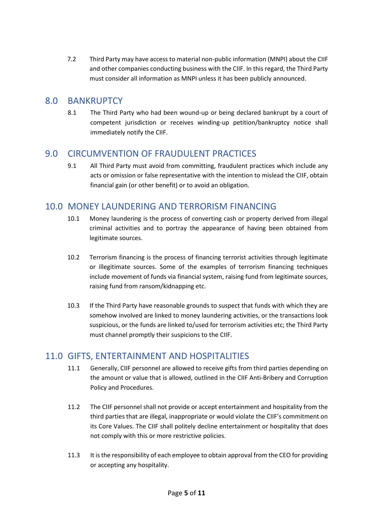7.2 Third Party may have access to material non-public information (MNPI) about the CIIF and other companies conducting business with the CIIF. In this regard, the Third Party must consider all information as MNPI unless it has been publicly announced.

#### <span id="page-4-0"></span>8.0 BANKRUPTCY

8.1 The Third Party who had been wound-up or being declared bankrupt by a court of competent jurisdiction or receives winding-up petition/bankruptcy notice shall immediately notify the CIIF.

## <span id="page-4-1"></span>9.0 CIRCUMVENTION OF FRAUDULENT PRACTICES

9.1 All Third Party must avoid from committing, fraudulent practices which include any acts or omission or false representative with the intention to mislead the CIIF, obtain financial gain (or other benefit) or to avoid an obligation.

## <span id="page-4-2"></span>10.0 MONEY LAUNDERING AND TERRORISM FINANCING

- 10.1 Money laundering is the process of converting cash or property derived from illegal criminal activities and to portray the appearance of having been obtained from legitimate sources.
- 10.2 Terrorism financing is the process of financing terrorist activities through legitimate or illegitimate sources. Some of the examples of terrorism financing techniques include movement of funds via financial system, raising fund from legitimate sources, raising fund from ransom/kidnapping etc.
- 10.3 If the Third Party have reasonable grounds to suspect that funds with which they are somehow involved are linked to money laundering activities, or the transactions look suspicious, or the funds are linked to/used for terrorism activities etc; the Third Party must channel promptly their suspicions to the CIIF.

## <span id="page-4-3"></span>11.0 GIFTS, ENTERTAINMENT AND HOSPITALITIES

- 11.1 Generally, CIIF personnel are allowed to receive gifts from third parties depending on the amount or value that is allowed, outlined in the CIIF Anti-Bribery and Corruption Policy and Procedures.
- 11.2 The CIIF personnel shall not provide or accept entertainment and hospitality from the third parties that are illegal, inappropriate or would violate the CIIF's commitment on its Core Values. The CIIF shall politely decline entertainment or hospitality that does not comply with this or more restrictive policies.
- 11.3 It is the responsibility of each employee to obtain approval from the CEO for providing or accepting any hospitality.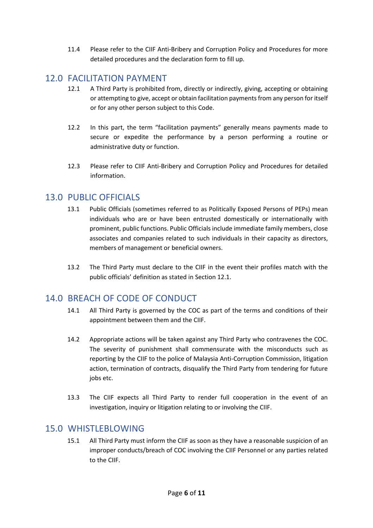11.4 Please refer to the CIIF Anti-Bribery and Corruption Policy and Procedures for more detailed procedures and the declaration form to fill up.

#### <span id="page-5-0"></span>12.0 FACILITATION PAYMENT

- 12.1 A Third Party is prohibited from, directly or indirectly, giving, accepting or obtaining or attempting to give, accept or obtain facilitation payments from any person for itself or for any other person subject to this Code.
- 12.2 In this part, the term "facilitation payments" generally means payments made to secure or expedite the performance by a person performing a routine or administrative duty or function.
- 12.3 Please refer to CIIF Anti-Bribery and Corruption Policy and Procedures for detailed information.

#### <span id="page-5-1"></span>13.0 PUBLIC OFFICIALS

- 13.1 Public Officials (sometimes referred to as Politically Exposed Persons of PEPs) mean individuals who are or have been entrusted domestically or internationally with prominent, public functions. Public Officials include immediate family members, close associates and companies related to such individuals in their capacity as directors, members of management or beneficial owners.
- 13.2 The Third Party must declare to the CIIF in the event their profiles match with the public officials' definition as stated in Section 12.1.

## <span id="page-5-2"></span>14.0 BREACH OF CODE OF CONDUCT

- 14.1 All Third Party is governed by the COC as part of the terms and conditions of their appointment between them and the CIIF.
- 14.2 Appropriate actions will be taken against any Third Party who contravenes the COC. The severity of punishment shall commensurate with the misconducts such as reporting by the CIIF to the police of Malaysia Anti-Corruption Commission, litigation action, termination of contracts, disqualify the Third Party from tendering for future jobs etc.
- 13.3 The CIIF expects all Third Party to render full cooperation in the event of an investigation, inquiry or litigation relating to or involving the CIIF.

#### <span id="page-5-3"></span>15.0 WHISTLEBLOWING

15.1 All Third Party must inform the CIIF as soon as they have a reasonable suspicion of an improper conducts/breach of COC involving the CIIF Personnel or any parties related to the CIIF.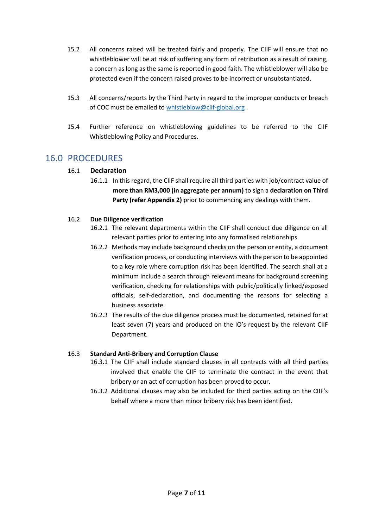- 15.2 All concerns raised will be treated fairly and properly. The CIIF will ensure that no whistleblower will be at risk of suffering any form of retribution as a result of raising, a concern as long as the same is reported in good faith. The whistleblower will also be protected even if the concern raised proves to be incorrect or unsubstantiated.
- 15.3 All concerns/reports by the Third Party in regard to the improper conducts or breach of COC must be emailed to [whistleblow@ciif-global.org](mailto:whistleblow@ciif-global.org) .
- 15.4 Further reference on whistleblowing guidelines to be referred to the CIIF Whistleblowing Policy and Procedures.

## <span id="page-6-0"></span>16.0 PROCEDURES

#### 16.1 **Declaration**

16.1.1 In this regard, the CIIF shall require all third parties with job/contract value of **more than RM3,000 (in aggregate per annum)** to sign a **declaration on Third Party (refer Appendix 2)** prior to commencing any dealings with them.

#### 16.2 **Due Diligence verification**

- 16.2.1 The relevant departments within the CIIF shall conduct due diligence on all relevant parties prior to entering into any formalised relationships.
- 16.2.2 Methods may include background checks on the person or entity, a document verification process, or conducting interviews with the person to be appointed to a key role where corruption risk has been identified. The search shall at a minimum include a search through relevant means for background screening verification, checking for relationships with public/politically linked/exposed officials, self-declaration, and documenting the reasons for selecting a business associate.
- 16.2.3 The results of the due diligence process must be documented, retained for at least seven (7) years and produced on the IO's request by the relevant CIIF Department.

#### 16.3 **Standard Anti-Bribery and Corruption Clause**

- 16.3.1 The CIIF shall include standard clauses in all contracts with all third parties involved that enable the CIIF to terminate the contract in the event that bribery or an act of corruption has been proved to occur.
- 16.3.2 Additional clauses may also be included for third parties acting on the CIIF's behalf where a more than minor bribery risk has been identified.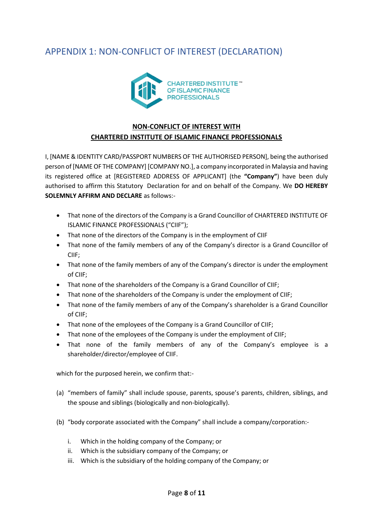# <span id="page-7-0"></span>APPENDIX 1: NON-CONFLICT OF INTEREST (DECLARATION)



#### **NON-CONFLICT OF INTEREST WITH**

#### **CHARTERED INSTITUTE OF ISLAMIC FINANCE PROFESSIONALS**

I, [NAME & IDENTITY CARD/PASSPORT NUMBERS OF THE AUTHORISED PERSON], being the authorised person of [NAME OF THE COMPANY] [COMPANY NO.], a company incorporated in Malaysia and having its registered office at [REGISTERED ADDRESS OF APPLICANT] (the **"Company"**) have been duly authorised to affirm this Statutory Declaration for and on behalf of the Company. We **DO HEREBY SOLEMNLY AFFIRM AND DECLARE** as follows:-

- That none of the directors of the Company is a Grand Councillor of CHARTERED INSTITUTE OF ISLAMIC FINANCE PROFESSIONALS ("CIIF");
- That none of the directors of the Company is in the employment of CIIF
- That none of the family members of any of the Company's director is a Grand Councillor of CIIF;
- That none of the family members of any of the Company's director is under the employment of CIIF;
- That none of the shareholders of the Company is a Grand Councillor of CIIF;
- That none of the shareholders of the Company is under the employment of CIIF;
- That none of the family members of any of the Company's shareholder is a Grand Councillor of CIIF;
- That none of the employees of the Company is a Grand Councillor of CIIF;
- That none of the employees of the Company is under the employment of CIIF;
- That none of the family members of any of the Company's employee is a shareholder/director/employee of CIIF.

which for the purposed herein, we confirm that:-

- (a) "members of family" shall include spouse, parents, spouse's parents, children, siblings, and the spouse and siblings (biologically and non-biologically).
- (b) "body corporate associated with the Company" shall include a company/corporation:
	- i. Which in the holding company of the Company; or
	- ii. Which is the subsidiary company of the Company; or
	- iii. Which is the subsidiary of the holding company of the Company; or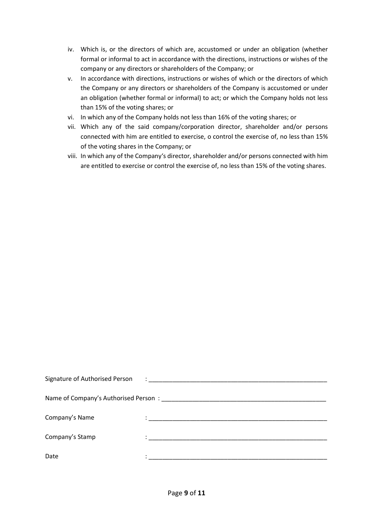- iv. Which is, or the directors of which are, accustomed or under an obligation (whether formal or informal to act in accordance with the directions, instructions or wishes of the company or any directors or shareholders of the Company; or
- v. In accordance with directions, instructions or wishes of which or the directors of which the Company or any directors or shareholders of the Company is accustomed or under an obligation (whether formal or informal) to act; or which the Company holds not less than 15% of the voting shares; or
- vi. In which any of the Company holds not less than 16% of the voting shares; or
- vii. Which any of the said company/corporation director, shareholder and/or persons connected with him are entitled to exercise, o control the exercise of, no less than 15% of the voting shares in the Company; or
- viii. In which any of the Company's director, shareholder and/or persons connected with him are entitled to exercise or control the exercise of, no less than 15% of the voting shares.

| Signature of Authorised Person | $\ddot{\phantom{a}}$ , and the contract of the contract of the contract of the contract of the contract of the contract of the contract of the contract of the contract of the contract of the contract of the contract of the contrac |
|--------------------------------|----------------------------------------------------------------------------------------------------------------------------------------------------------------------------------------------------------------------------------------|
|                                |                                                                                                                                                                                                                                        |
| Company's Name                 | the control of the control of the control of the control of the control of the control of                                                                                                                                              |
| Company's Stamp                | <u> 2000 - 2000 - 2000 - 2000 - 2000 - 2000 - 2000 - 2000 - 2000 - 2000 - 2000 - 2000 - 2000 - 2000 - 2000 - 200</u>                                                                                                                   |
| Date                           |                                                                                                                                                                                                                                        |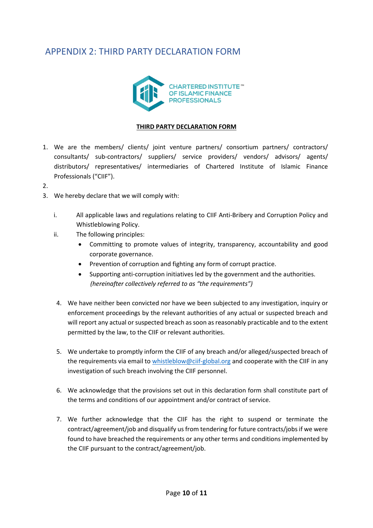## <span id="page-9-0"></span>APPENDIX 2: THIRD PARTY DECLARATION FORM



#### **THIRD PARTY DECLARATION FORM**

- 1. We are the members/ clients/ joint venture partners/ consortium partners/ contractors/ consultants/ sub-contractors/ suppliers/ service providers/ vendors/ advisors/ agents/ distributors/ representatives/ intermediaries of Chartered Institute of Islamic Finance Professionals ("CIIF").
- 2.
- 3. We hereby declare that we will comply with:
	- i. All applicable laws and regulations relating to CIIF Anti-Bribery and Corruption Policy and Whistleblowing Policy.
	- ii. The following principles:
		- Committing to promote values of integrity, transparency, accountability and good corporate governance.
		- Prevention of corruption and fighting any form of corrupt practice.
		- Supporting anti-corruption initiatives led by the government and the authorities. *(hereinafter collectively referred to as "the requirements")*
	- 4. We have neither been convicted nor have we been subjected to any investigation, inquiry or enforcement proceedings by the relevant authorities of any actual or suspected breach and will report any actual or suspected breach as soon as reasonably practicable and to the extent permitted by the law, to the CIIF or relevant authorities.
	- 5. We undertake to promptly inform the CIIF of any breach and/or alleged/suspected breach of the requirements via email t[o whistleblow@ciif-global.org](mailto:whistleblow@ciif-global.org) and cooperate with the CIIF in any investigation of such breach involving the CIIF personnel.
	- 6. We acknowledge that the provisions set out in this declaration form shall constitute part of the terms and conditions of our appointment and/or contract of service.
	- 7. We further acknowledge that the CIIF has the right to suspend or terminate the contract/agreement/job and disqualify us from tendering for future contracts/jobs if we were found to have breached the requirements or any other terms and conditions implemented by the CIIF pursuant to the contract/agreement/job.